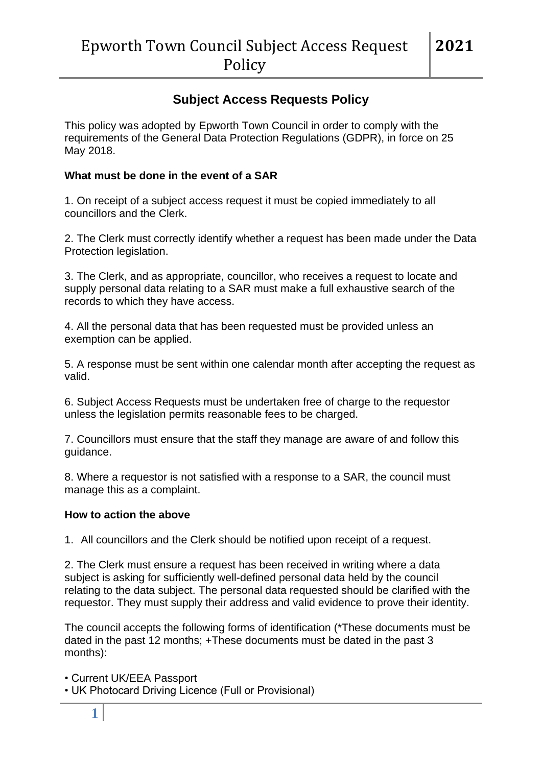# **Subject Access Requests Policy**

This policy was adopted by Epworth Town Council in order to comply with the requirements of the General Data Protection Regulations (GDPR), in force on 25 May 2018.

## **What must be done in the event of a SAR**

1. On receipt of a subject access request it must be copied immediately to all councillors and the Clerk.

2. The Clerk must correctly identify whether a request has been made under the Data Protection legislation.

3. The Clerk, and as appropriate, councillor, who receives a request to locate and supply personal data relating to a SAR must make a full exhaustive search of the records to which they have access.

4. All the personal data that has been requested must be provided unless an exemption can be applied.

5. A response must be sent within one calendar month after accepting the request as valid.

6. Subject Access Requests must be undertaken free of charge to the requestor unless the legislation permits reasonable fees to be charged.

7. Councillors must ensure that the staff they manage are aware of and follow this guidance.

8. Where a requestor is not satisfied with a response to a SAR, the council must manage this as a complaint.

#### **How to action the above**

1. All councillors and the Clerk should be notified upon receipt of a request.

2. The Clerk must ensure a request has been received in writing where a data subject is asking for sufficiently well-defined personal data held by the council relating to the data subject. The personal data requested should be clarified with the requestor. They must supply their address and valid evidence to prove their identity.

The council accepts the following forms of identification (\*These documents must be dated in the past 12 months; +These documents must be dated in the past 3 months):

• Current UK/EEA Passport

• UK Photocard Driving Licence (Full or Provisional)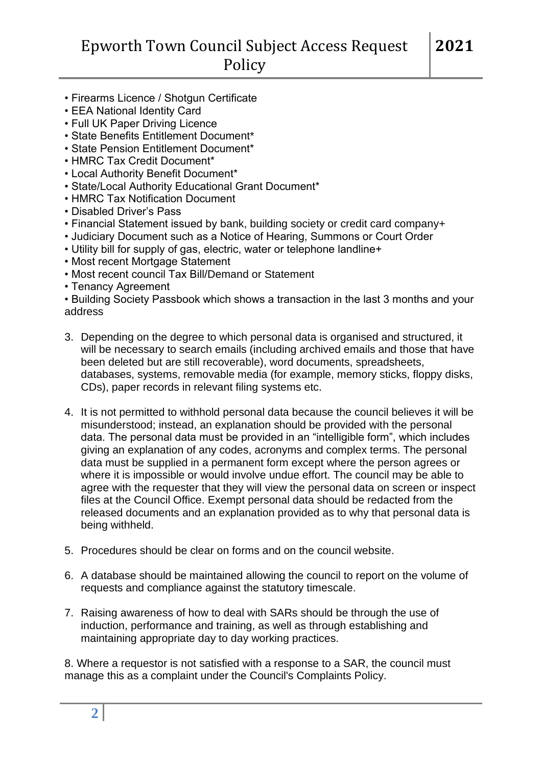# **Policy**

- Firearms Licence / Shotgun Certificate
- EEA National Identity Card
- Full UK Paper Driving Licence
- State Benefits Entitlement Document\*
- State Pension Entitlement Document\*
- HMRC Tax Credit Document\*
- Local Authority Benefit Document\*
- State/Local Authority Educational Grant Document\*
- HMRC Tax Notification Document
- Disabled Driver's Pass
- Financial Statement issued by bank, building society or credit card company+
- Judiciary Document such as a Notice of Hearing, Summons or Court Order
- Utility bill for supply of gas, electric, water or telephone landline+
- Most recent Mortgage Statement
- Most recent council Tax Bill/Demand or Statement
- Tenancy Agreement

• Building Society Passbook which shows a transaction in the last 3 months and your address

- 3. Depending on the degree to which personal data is organised and structured, it will be necessary to search emails (including archived emails and those that have been deleted but are still recoverable), word documents, spreadsheets, databases, systems, removable media (for example, memory sticks, floppy disks, CDs), paper records in relevant filing systems etc.
- 4. It is not permitted to withhold personal data because the council believes it will be misunderstood; instead, an explanation should be provided with the personal data. The personal data must be provided in an "intelligible form", which includes giving an explanation of any codes, acronyms and complex terms. The personal data must be supplied in a permanent form except where the person agrees or where it is impossible or would involve undue effort. The council may be able to agree with the requester that they will view the personal data on screen or inspect files at the Council Office. Exempt personal data should be redacted from the released documents and an explanation provided as to why that personal data is being withheld.
- 5. Procedures should be clear on forms and on the council website.
- 6. A database should be maintained allowing the council to report on the volume of requests and compliance against the statutory timescale.
- 7. Raising awareness of how to deal with SARs should be through the use of induction, performance and training, as well as through establishing and maintaining appropriate day to day working practices.

8. Where a requestor is not satisfied with a response to a SAR, the council must manage this as a complaint under the Council's Complaints Policy.